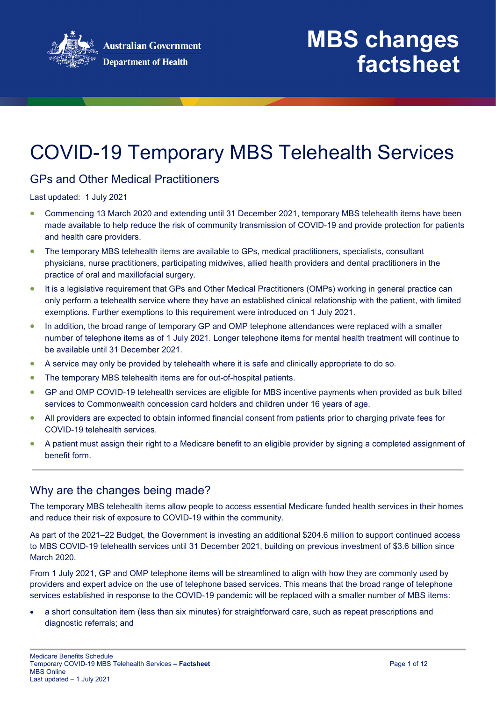

## COVID-19 Temporary MBS Telehealth Services

## GPs and Other Medical Practitioners

Last updated: 1 July 2021

- Commencing 13 March 2020 and extending until 31 December 2021, temporary MBS telehealth items have been made available to help reduce the risk of community transmission of COVID-19 and provide protection for patients and health care providers.
- The temporary MBS telehealth items are available to GPs, medical practitioners, specialists, consultant physicians, nurse practitioners, participating midwives, allied health providers and dental practitioners in the practice of oral and maxillofacial surgery.
- It is a legislative requirement that GPs and Other Medical Practitioners (OMPs) working in general practice can only perform a telehealth service where they have an established clinical relationship with the patient, with limited exemptions. Further exemptions to this requirement were introduced on 1 July 2021.
- In addition, the broad range of temporary GP and OMP telephone attendances were replaced with a smaller number of telephone items as of 1 July 2021. Longer telephone items for mental health treatment will continue to be available until 31 December 2021.
- A service may only be provided by telehealth where it is safe and clinically appropriate to do so.
- The temporary MBS telehealth items are for out-of-hospital patients.
- GP and OMP COVID-19 telehealth services are eligible for MBS incentive payments when provided as bulk billed services to Commonwealth concession card holders and children under 16 years of age.
- All providers are expected to obtain informed financial consent from patients prior to charging private fees for COVID-19 telehealth services.
- A patient must assign their right to a Medicare benefit to an eligible provider by signing a completed assignment of benefit form.

## Why are the changes being made?

The temporary MBS telehealth items allow people to access essential Medicare funded health services in their homes and reduce their risk of exposure to COVID-19 within the community.

As part of the 2021–22 Budget, the Government is investing an additional \$204.6 million to support continued access to MBS COVID-19 telehealth services until 31 December 2021, building on previous investment of \$3.6 billion since March 2020.

From 1 July 2021, GP and OMP telephone items will be streamlined to align with how they are commonly used by providers and expert advice on the use of telephone based services. This means that the broad range of telephone services established in response to the COVID-19 pandemic will be replaced with a smaller number of MBS items:

• a short consultation item (less than six minutes) for straightforward care, such as repeat prescriptions and diagnostic referrals; and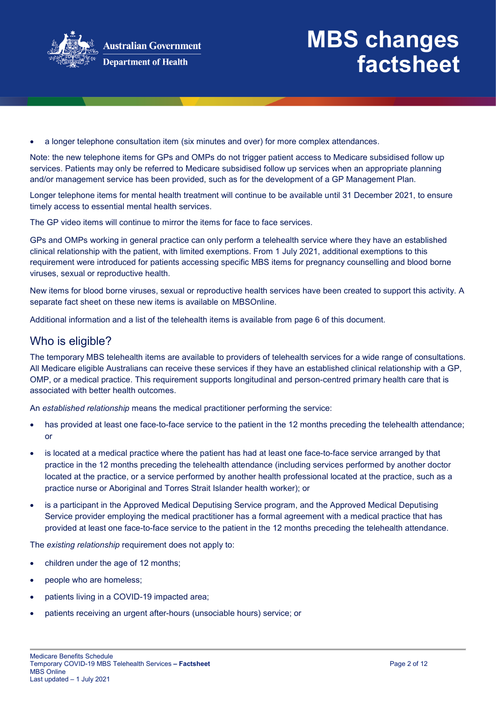

• a longer telephone consultation item (six minutes and over) for more complex attendances.

Note: the new telephone items for GPs and OMPs do not trigger patient access to Medicare subsidised follow up services. Patients may only be referred to Medicare subsidised follow up services when an appropriate planning and/or management service has been provided, such as for the development of a GP Management Plan.

Longer telephone items for mental health treatment will continue to be available until 31 December 2021, to ensure timely access to essential mental health services.

The GP video items will continue to mirror the items for face to face services.

GPs and OMPs working in general practice can only perform a telehealth service where they have an established clinical relationship with the patient, with limited exemptions. From 1 July 2021, additional exemptions to this requirement were introduced for patients accessing specific MBS items for pregnancy counselling and blood borne viruses, sexual or reproductive health.

New items for blood borne viruses, sexual or reproductive health services have been created to support this activity. A separate fact sheet on these new items is available on MBSOnline.

Additional information and a list of the telehealth items is available from page 6 of this document.

### Who is eligible?

The temporary MBS telehealth items are available to providers of telehealth services for a wide range of consultations. All Medicare eligible Australians can receive these services if they have an established clinical relationship with a GP, OMP, or a medical practice. This requirement supports longitudinal and person-centred primary health care that is associated with better health outcomes.

An *established relationship* means the medical practitioner performing the service:

- has provided at least one face-to-face service to the patient in the 12 months preceding the telehealth attendance; or
- is located at a medical practice where the patient has had at least one face-to-face service arranged by that practice in the 12 months preceding the telehealth attendance (including services performed by another doctor located at the practice, or a service performed by another health professional located at the practice, such as a practice nurse or Aboriginal and Torres Strait Islander health worker); or
- is a participant in the Approved Medical Deputising Service program, and the Approved Medical Deputising Service provider employing the medical practitioner has a formal agreement with a medical practice that has provided at least one face-to-face service to the patient in the 12 months preceding the telehealth attendance.

The *existing relationship* requirement does not apply to:

- children under the age of 12 months;
- people who are homeless:
- patients living in a COVID-19 impacted area;
- patients receiving an urgent after-hours (unsociable hours) service; or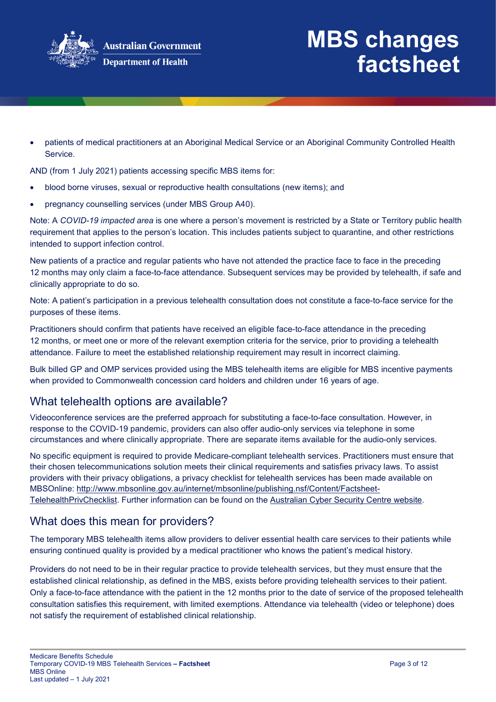

• patients of medical practitioners at an Aboriginal Medical Service or an Aboriginal Community Controlled Health Service.

AND (from 1 July 2021) patients accessing specific MBS items for:

- blood borne viruses, sexual or reproductive health consultations (new items); and
- pregnancy counselling services (under MBS Group A40).

Note: A *COVID-19 impacted area* is one where a person's movement is restricted by a State or Territory public health requirement that applies to the person's location. This includes patients subject to quarantine, and other restrictions intended to support infection control.

New patients of a practice and regular patients who have not attended the practice face to face in the preceding 12 months may only claim a face-to-face attendance. Subsequent services may be provided by telehealth, if safe and clinically appropriate to do so.

Note: A patient's participation in a previous telehealth consultation does not constitute a face-to-face service for the purposes of these items.

Practitioners should confirm that patients have received an eligible face-to-face attendance in the preceding 12 months, or meet one or more of the relevant exemption criteria for the service, prior to providing a telehealth attendance. Failure to meet the established relationship requirement may result in incorrect claiming.

Bulk billed GP and OMP services provided using the MBS telehealth items are eligible for MBS incentive payments when provided to Commonwealth concession card holders and children under 16 years of age.

## What telehealth options are available?

Videoconference services are the preferred approach for substituting a face-to-face consultation. However, in response to the COVID-19 pandemic, providers can also offer audio-only services via telephone in some circumstances and where clinically appropriate. There are separate items available for the audio-only services.

No specific equipment is required to provide Medicare-compliant telehealth services. Practitioners must ensure that their chosen telecommunications solution meets their clinical requirements and satisfies privacy laws. To assist providers with their privacy obligations, a privacy checklist for telehealth services has been made available on MBSOnline: [http://www.mbsonline.gov.au/internet/mbsonline/publishing.nsf/Content/Factsheet-](http://www.mbsonline.gov.au/internet/mbsonline/publishing.nsf/Content/Factsheet-TelehealthPrivChecklist)[TelehealthPrivChecklist.](http://www.mbsonline.gov.au/internet/mbsonline/publishing.nsf/Content/Factsheet-TelehealthPrivChecklist) Further information can be found on the [Australian Cyber Security Centre website.](https://www.cyber.gov.au/)

## What does this mean for providers?

The temporary MBS telehealth items allow providers to deliver essential health care services to their patients while ensuring continued quality is provided by a medical practitioner who knows the patient's medical history.

Providers do not need to be in their regular practice to provide telehealth services, but they must ensure that the established clinical relationship, as defined in the MBS, exists before providing telehealth services to their patient. Only a face-to-face attendance with the patient in the 12 months prior to the date of service of the proposed telehealth consultation satisfies this requirement, with limited exemptions. Attendance via telehealth (video or telephone) does not satisfy the requirement of established clinical relationship.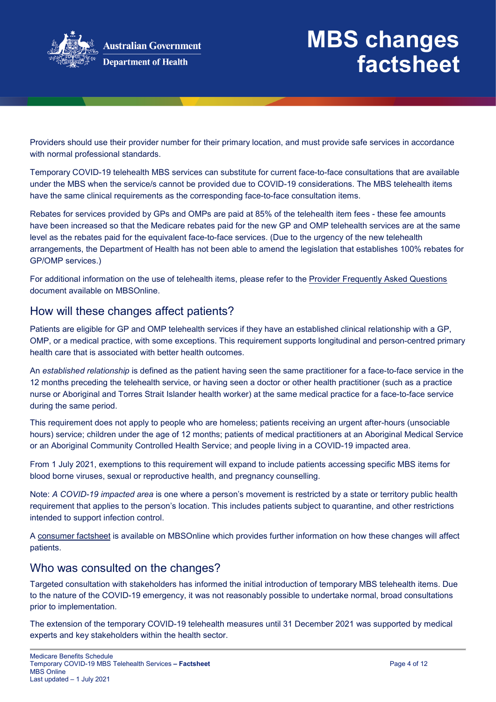

Providers should use their provider number for their primary location, and must provide safe services in accordance with normal professional standards.

Temporary COVID-19 telehealth MBS services can substitute for current face-to-face consultations that are available under the MBS when the service/s cannot be provided due to COVID-19 considerations. The MBS telehealth items have the same clinical requirements as the corresponding face-to-face consultation items.

Rebates for services provided by GPs and OMPs are paid at 85% of the telehealth item fees - these fee amounts have been increased so that the Medicare rebates paid for the new GP and OMP telehealth services are at the same level as the rebates paid for the equivalent face-to-face services. (Due to the urgency of the new telehealth arrangements, the Department of Health has not been able to amend the legislation that establishes 100% rebates for GP/OMP services.)

For additional information on the use of telehealth items, please refer to the [Provider Frequently Asked Questions](http://www.mbsonline.gov.au/internet/mbsonline/publishing.nsf/Content/Factsheet-TempBB) document available on MBSOnline.

## How will these changes affect patients?

Patients are eligible for GP and OMP telehealth services if they have an established clinical relationship with a GP, OMP, or a medical practice, with some exceptions. This requirement supports longitudinal and person-centred primary health care that is associated with better health outcomes.

An *established relationship* is defined as the patient having seen the same practitioner for a face-to-face service in the 12 months preceding the telehealth service, or having seen a doctor or other health practitioner (such as a practice nurse or Aboriginal and Torres Strait Islander health worker) at the same medical practice for a face-to-face service during the same period.

This requirement does not apply to people who are homeless; patients receiving an urgent after-hours (unsociable hours) service; children under the age of 12 months; patients of medical practitioners at an Aboriginal Medical Service or an Aboriginal Community Controlled Health Service; and people living in a COVID-19 impacted area.

From 1 July 2021, exemptions to this requirement will expand to include patients accessing specific MBS items for blood borne viruses, sexual or reproductive health, and pregnancy counselling.

Note: *A COVID-19 impacted area* is one where a person's movement is restricted by a state or territory public health requirement that applies to the person's location. This includes patients subject to quarantine, and other restrictions intended to support infection control.

A [consumer factsheet](http://www.mbsonline.gov.au/internet/mbsonline/publishing.nsf/Content/Factsheet-TempBB) is available on MBSOnline which provides further information on how these changes will affect patients.

## Who was consulted on the changes?

Targeted consultation with stakeholders has informed the initial introduction of temporary MBS telehealth items. Due to the nature of the COVID-19 emergency, it was not reasonably possible to undertake normal, broad consultations prior to implementation.

The extension of the temporary COVID-19 telehealth measures until 31 December 2021 was supported by medical experts and key stakeholders within the health sector.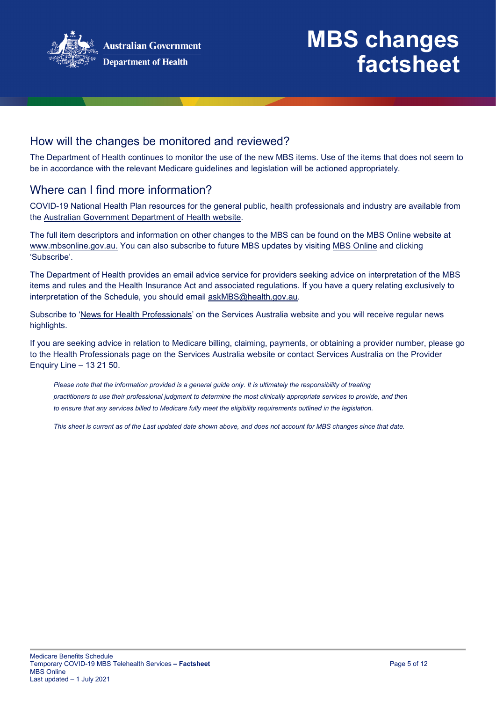

## How will the changes be monitored and reviewed?

The Department of Health continues to monitor the use of the new MBS items. Use of the items that does not seem to be in accordance with the relevant Medicare guidelines and legislation will be actioned appropriately.

## Where can I find more information?

COVID-19 National Health Plan resources for the general public, health professionals and industry are available from the [Australian Government Department of Health website.](https://www.health.gov.au/resources/collections/coronavirus-covid-19-national-health-plan-resources)

The full item descriptors and information on other changes to the MBS can be found on the MBS Online website at [www.mbsonline.gov.au.](http://www.mbsonline.gov.au/) You can also subscribe to future MBS updates by visiting [MBS Online](http://www.mbsonline.gov.au/) and clicking 'Subscribe'.

The Department of Health provides an email advice service for providers seeking advice on interpretation of the MBS items and rules and the Health Insurance Act and associated regulations. If you have a query relating exclusively to interpretation of the Schedule, you should email [askMBS@health.gov.au.](mailto:askMBS@health.gov.au)

Subscribe to ['News for Health Professionals'](https://www.humanservices.gov.au/organisations/health-professionals/news/all) on the Services Australia website and you will receive regular news highlights.

If you are seeking advice in relation to Medicare billing, claiming, payments, or obtaining a provider number, please go to the Health Professionals page on the Services Australia website or contact Services Australia on the Provider Enquiry Line – 13 21 50.

*Please note that the information provided is a general guide only. It is ultimately the responsibility of treating practitioners to use their professional judgment to determine the most clinically appropriate services to provide, and then*  to ensure that any services billed to Medicare fully meet the eligibility requirements outlined in the legislation.

*This sheet is current as of the Last updated date shown above, and does not account for MBS changes since that date.*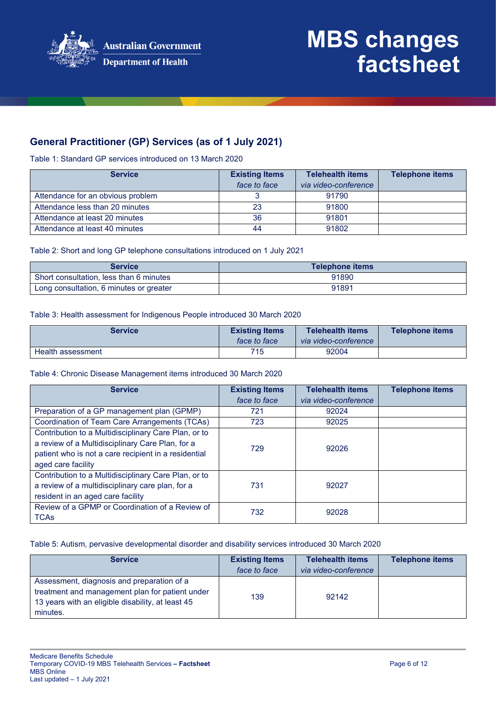

## **General Practitioner (GP) Services (as of 1 July 2021)**

Table 1: Standard GP services introduced on 13 March 2020

| <b>Service</b>                    | <b>Existing Items</b> | <b>Telehealth items</b> | <b>Telephone items</b> |
|-----------------------------------|-----------------------|-------------------------|------------------------|
|                                   | face to face          | via video-conference    |                        |
| Attendance for an obvious problem |                       | 91790                   |                        |
| Attendance less than 20 minutes   | 23                    | 91800                   |                        |
| Attendance at least 20 minutes    | 36                    | 91801                   |                        |
| Attendance at least 40 minutes    | 44                    | 91802                   |                        |

#### Table 2: Short and long GP telephone consultations introduced on 1 July 2021

| <b>Service</b>                          | <b>Telephone items</b> |
|-----------------------------------------|------------------------|
| Short consultation, less than 6 minutes | 91890                  |
| Long consultation, 6 minutes or greater | 91891                  |

#### Table 3: Health assessment for Indigenous People introduced 30 March 2020

| <b>Service</b>    | <b>Existing Items</b> | <b>Telehealth items</b> | <b>Telephone items</b> |
|-------------------|-----------------------|-------------------------|------------------------|
|                   | face to face          | via video-conference    |                        |
| Health assessment | 715                   | 92004                   |                        |

#### Table 4: Chronic Disease Management items introduced 30 March 2020

| <b>Service</b>                                                                                                                                                                         | <b>Existing Items</b><br>face to face | <b>Telehealth items</b><br>via video-conference | <b>Telephone items</b> |
|----------------------------------------------------------------------------------------------------------------------------------------------------------------------------------------|---------------------------------------|-------------------------------------------------|------------------------|
| Preparation of a GP management plan (GPMP)                                                                                                                                             | 721                                   | 92024                                           |                        |
| Coordination of Team Care Arrangements (TCAs)                                                                                                                                          | 723                                   | 92025                                           |                        |
| Contribution to a Multidisciplinary Care Plan, or to<br>a review of a Multidisciplinary Care Plan, for a<br>patient who is not a care recipient in a residential<br>aged care facility | 729                                   | 92026                                           |                        |
| Contribution to a Multidisciplinary Care Plan, or to<br>a review of a multidisciplinary care plan, for a<br>resident in an aged care facility                                          | 731                                   | 92027                                           |                        |
| Review of a GPMP or Coordination of a Review of<br><b>TCAs</b>                                                                                                                         | 732                                   | 92028                                           |                        |

Table 5: Autism, pervasive developmental disorder and disability services introduced 30 March 2020

| <b>Service</b>                                                                                                                                                 | <b>Existing Items</b><br>face to face | <b>Telehealth items</b><br>via video-conference | <b>Telephone items</b> |
|----------------------------------------------------------------------------------------------------------------------------------------------------------------|---------------------------------------|-------------------------------------------------|------------------------|
| Assessment, diagnosis and preparation of a<br>treatment and management plan for patient under<br>13 years with an eligible disability, at least 45<br>minutes. | 139                                   | 92142                                           |                        |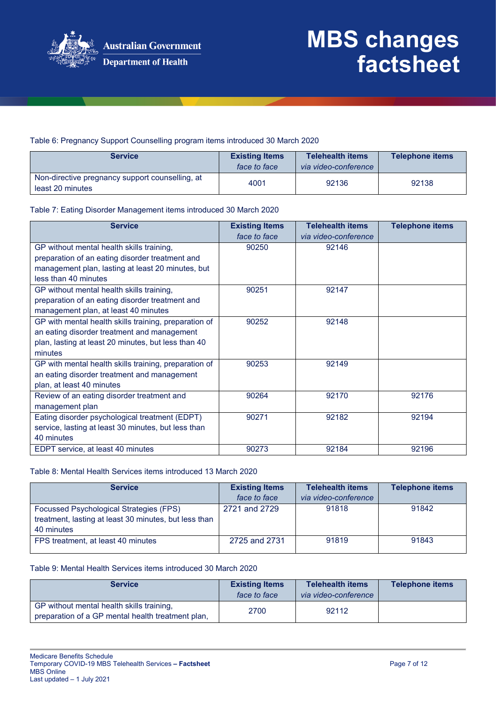

### Table 6: Pregnancy Support Counselling program items introduced 30 March 2020

| <b>Service</b>                                                      | <b>Existing Items</b><br>face to face | <b>Telehealth items</b><br>via video-conference | <b>Telephone items</b> |
|---------------------------------------------------------------------|---------------------------------------|-------------------------------------------------|------------------------|
| Non-directive pregnancy support counselling, at<br>least 20 minutes | 4001                                  | 92136                                           | 92138                  |

#### Table 7: Eating Disorder Management items introduced 30 March 2020

| <b>Service</b>                                        | <b>Existing Items</b><br>face to face | <b>Telehealth items</b><br>via video-conference | <b>Telephone items</b> |
|-------------------------------------------------------|---------------------------------------|-------------------------------------------------|------------------------|
| GP without mental health skills training,             | 90250                                 | 92146                                           |                        |
| preparation of an eating disorder treatment and       |                                       |                                                 |                        |
| management plan, lasting at least 20 minutes, but     |                                       |                                                 |                        |
| less than 40 minutes                                  |                                       |                                                 |                        |
| GP without mental health skills training,             | 90251                                 | 92147                                           |                        |
| preparation of an eating disorder treatment and       |                                       |                                                 |                        |
| management plan, at least 40 minutes                  |                                       |                                                 |                        |
| GP with mental health skills training, preparation of | 90252                                 | 92148                                           |                        |
| an eating disorder treatment and management           |                                       |                                                 |                        |
| plan, lasting at least 20 minutes, but less than 40   |                                       |                                                 |                        |
| minutes                                               |                                       |                                                 |                        |
| GP with mental health skills training, preparation of | 90253                                 | 92149                                           |                        |
| an eating disorder treatment and management           |                                       |                                                 |                        |
| plan, at least 40 minutes                             |                                       |                                                 |                        |
| Review of an eating disorder treatment and            | 90264                                 | 92170                                           | 92176                  |
| management plan                                       |                                       |                                                 |                        |
| Eating disorder psychological treatment (EDPT)        | 90271                                 | 92182                                           | 92194                  |
| service, lasting at least 30 minutes, but less than   |                                       |                                                 |                        |
| 40 minutes                                            |                                       |                                                 |                        |
| EDPT service, at least 40 minutes                     | 90273                                 | 92184                                           | 92196                  |

#### Table 8: Mental Health Services items introduced 13 March 2020

| <b>Service</b>                                                                                                 | <b>Existing Items</b><br>face to face | <b>Telehealth items</b><br>via video-conference | Telephone items |
|----------------------------------------------------------------------------------------------------------------|---------------------------------------|-------------------------------------------------|-----------------|
| Focussed Psychological Strategies (FPS)<br>treatment, lasting at least 30 minutes, but less than<br>40 minutes | 2721 and 2729                         | 91818                                           | 91842           |
| FPS treatment, at least 40 minutes                                                                             | 2725 and 2731                         | 91819                                           | 91843           |

#### Table 9: Mental Health Services items introduced 30 March 2020

| <b>Service</b>                                                                                 | <b>Existing Items</b><br>face to face | <b>Telehealth items</b><br>via video-conference | <b>Telephone items</b> |
|------------------------------------------------------------------------------------------------|---------------------------------------|-------------------------------------------------|------------------------|
| GP without mental health skills training,<br>preparation of a GP mental health treatment plan, | 2700                                  | 92112                                           |                        |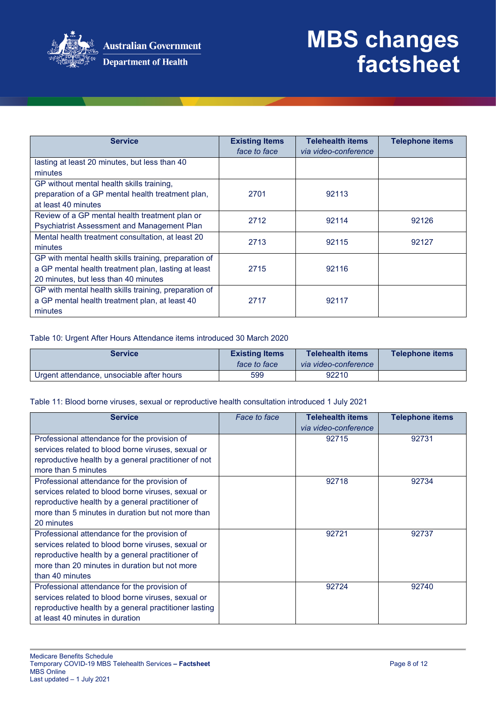

| <b>Service</b>                                        | <b>Existing Items</b><br>face to face | <b>Telehealth items</b><br>via video-conference | <b>Telephone items</b> |
|-------------------------------------------------------|---------------------------------------|-------------------------------------------------|------------------------|
| lasting at least 20 minutes, but less than 40         |                                       |                                                 |                        |
| minutes                                               |                                       |                                                 |                        |
| GP without mental health skills training,             |                                       |                                                 |                        |
| preparation of a GP mental health treatment plan,     | 2701                                  | 92113                                           |                        |
| at least 40 minutes                                   |                                       |                                                 |                        |
| Review of a GP mental health treatment plan or        | 2712                                  | 92114                                           | 92126                  |
| <b>Psychiatrist Assessment and Management Plan</b>    |                                       |                                                 |                        |
| Mental health treatment consultation, at least 20     | 2713                                  | 92115                                           | 92127                  |
| minutes                                               |                                       |                                                 |                        |
| GP with mental health skills training, preparation of |                                       |                                                 |                        |
| a GP mental health treatment plan, lasting at least   | 2715                                  | 92116                                           |                        |
| 20 minutes, but less than 40 minutes                  |                                       |                                                 |                        |
| GP with mental health skills training, preparation of |                                       |                                                 |                        |
| a GP mental health treatment plan, at least 40        | 2717                                  | 92117                                           |                        |
| minutes                                               |                                       |                                                 |                        |

#### Table 10: Urgent After Hours Attendance items introduced 30 March 2020

| <b>Service</b>                            | <b>Existing Items</b><br>face to face | <b>Telehealth items</b><br>via video-conference | <b>Telephone items</b> |
|-------------------------------------------|---------------------------------------|-------------------------------------------------|------------------------|
| Urgent attendance, unsociable after hours | 599                                   | 92210                                           |                        |

#### Table 11: Blood borne viruses, sexual or reproductive health consultation introduced 1 July 2021

| <b>Service</b>                                        | Face to face | <b>Telehealth items</b> | <b>Telephone items</b> |
|-------------------------------------------------------|--------------|-------------------------|------------------------|
|                                                       |              | via video-conference    |                        |
| Professional attendance for the provision of          |              | 92715                   | 92731                  |
| services related to blood borne viruses, sexual or    |              |                         |                        |
| reproductive health by a general practitioner of not  |              |                         |                        |
| more than 5 minutes                                   |              |                         |                        |
| Professional attendance for the provision of          |              | 92718                   | 92734                  |
| services related to blood borne viruses, sexual or    |              |                         |                        |
| reproductive health by a general practitioner of      |              |                         |                        |
| more than 5 minutes in duration but not more than     |              |                         |                        |
| 20 minutes                                            |              |                         |                        |
| Professional attendance for the provision of          |              | 92721                   | 92737                  |
| services related to blood borne viruses, sexual or    |              |                         |                        |
| reproductive health by a general practitioner of      |              |                         |                        |
| more than 20 minutes in duration but not more         |              |                         |                        |
| than 40 minutes                                       |              |                         |                        |
| Professional attendance for the provision of          |              | 92724                   | 92740                  |
| services related to blood borne viruses, sexual or    |              |                         |                        |
| reproductive health by a general practitioner lasting |              |                         |                        |
| at least 40 minutes in duration                       |              |                         |                        |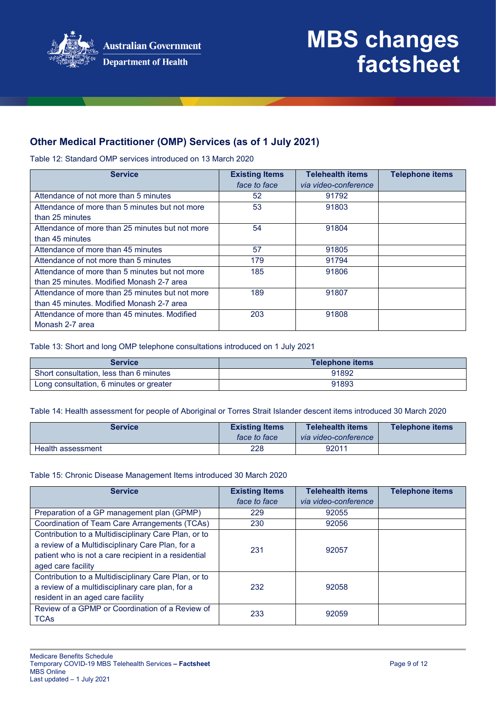

## **Other Medical Practitioner (OMP) Services (as of 1 July 2021)**

Table 12: Standard OMP services introduced on 13 March 2020

| <b>Service</b>                                  | <b>Existing Items</b> | <b>Telehealth items</b> | <b>Telephone items</b> |
|-------------------------------------------------|-----------------------|-------------------------|------------------------|
|                                                 | face to face          | via video-conference    |                        |
| Attendance of not more than 5 minutes           | 52                    | 91792                   |                        |
| Attendance of more than 5 minutes but not more  | 53                    | 91803                   |                        |
| than 25 minutes                                 |                       |                         |                        |
| Attendance of more than 25 minutes but not more | 54                    | 91804                   |                        |
| than 45 minutes                                 |                       |                         |                        |
| Attendance of more than 45 minutes              | 57                    | 91805                   |                        |
| Attendance of not more than 5 minutes           | 179                   | 91794                   |                        |
| Attendance of more than 5 minutes but not more  | 185                   | 91806                   |                        |
| than 25 minutes. Modified Monash 2-7 area       |                       |                         |                        |
| Attendance of more than 25 minutes but not more | 189                   | 91807                   |                        |
| than 45 minutes. Modified Monash 2-7 area       |                       |                         |                        |
| Attendance of more than 45 minutes. Modified    | 203                   | 91808                   |                        |
| Monash 2-7 area                                 |                       |                         |                        |

Table 13: Short and long OMP telephone consultations introduced on 1 July 2021

| <b>Service</b>                          | <b>Telephone items</b> |
|-----------------------------------------|------------------------|
| Short consultation, less than 6 minutes | 91892                  |
| Long consultation, 6 minutes or greater | 91893                  |

Table 14: Health assessment for people of Aboriginal or Torres Strait Islander descent items introduced 30 March 2020

| <b>Service</b>    | <b>Existing Items</b> | <b>Telehealth items</b> | Telephone items |
|-------------------|-----------------------|-------------------------|-----------------|
|                   | face to face          | via video-conference    |                 |
| Health assessment | 228                   | 92011                   |                 |

Table 15: Chronic Disease Management Items introduced 30 March 2020

| <b>Service</b>                                                                                                                                                                         | <b>Existing Items</b> | <b>Telehealth items</b> | <b>Telephone items</b> |
|----------------------------------------------------------------------------------------------------------------------------------------------------------------------------------------|-----------------------|-------------------------|------------------------|
|                                                                                                                                                                                        | face to face          | via video-conference    |                        |
| Preparation of a GP management plan (GPMP)                                                                                                                                             | 229                   | 92055                   |                        |
| Coordination of Team Care Arrangements (TCAs)                                                                                                                                          | 230                   | 92056                   |                        |
| Contribution to a Multidisciplinary Care Plan, or to<br>a review of a Multidisciplinary Care Plan, for a<br>patient who is not a care recipient in a residential<br>aged care facility | 231                   | 92057                   |                        |
| Contribution to a Multidisciplinary Care Plan, or to<br>a review of a multidisciplinary care plan, for a<br>resident in an aged care facility                                          | 232                   | 92058                   |                        |
| Review of a GPMP or Coordination of a Review of<br><b>TCAs</b>                                                                                                                         | 233                   | 92059                   |                        |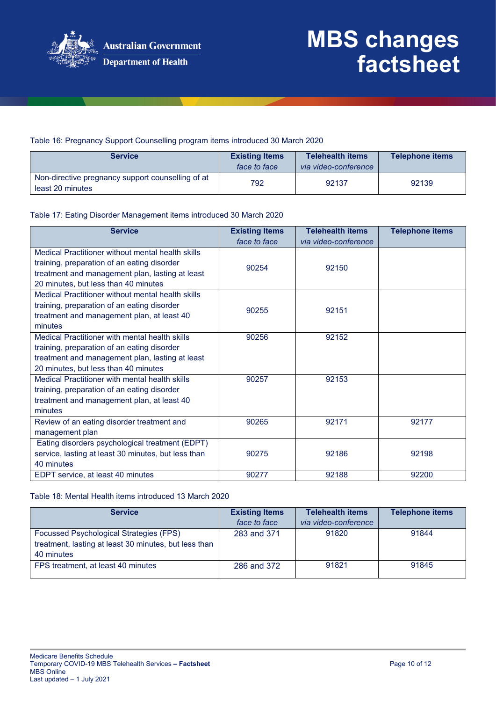

### Table 16: Pregnancy Support Counselling program items introduced 30 March 2020

| <b>Service</b>                                                        | <b>Existing Items</b><br>face to face | <b>Telehealth items</b><br>via video-conference | <b>Telephone items</b> |
|-----------------------------------------------------------------------|---------------------------------------|-------------------------------------------------|------------------------|
| Non-directive pregnancy support counselling of at<br>least 20 minutes | 792                                   | 92137                                           | 92139                  |

#### Table 17: Eating Disorder Management items introduced 30 March 2020

| <b>Service</b>                                      | <b>Existing Items</b> | <b>Telehealth items</b> | <b>Telephone items</b> |
|-----------------------------------------------------|-----------------------|-------------------------|------------------------|
|                                                     | face to face          | via video-conference    |                        |
| Medical Practitioner without mental health skills   |                       |                         |                        |
| training, preparation of an eating disorder         | 90254                 | 92150                   |                        |
| treatment and management plan, lasting at least     |                       |                         |                        |
| 20 minutes, but less than 40 minutes                |                       |                         |                        |
| Medical Practitioner without mental health skills   |                       |                         |                        |
| training, preparation of an eating disorder         | 90255                 | 92151                   |                        |
| treatment and management plan, at least 40          |                       |                         |                        |
| minutes                                             |                       |                         |                        |
| Medical Practitioner with mental health skills      | 90256                 | 92152                   |                        |
| training, preparation of an eating disorder         |                       |                         |                        |
| treatment and management plan, lasting at least     |                       |                         |                        |
| 20 minutes, but less than 40 minutes                |                       |                         |                        |
| Medical Practitioner with mental health skills      | 90257                 | 92153                   |                        |
| training, preparation of an eating disorder         |                       |                         |                        |
| treatment and management plan, at least 40          |                       |                         |                        |
| minutes                                             |                       |                         |                        |
| Review of an eating disorder treatment and          | 90265                 | 92171                   | 92177                  |
| management plan                                     |                       |                         |                        |
| Eating disorders psychological treatment (EDPT)     |                       |                         |                        |
| service, lasting at least 30 minutes, but less than | 90275                 | 92186                   | 92198                  |
| 40 minutes                                          |                       |                         |                        |
| EDPT service, at least 40 minutes                   | 90277                 | 92188                   | 92200                  |

#### Table 18: Mental Health items introduced 13 March 2020

| <b>Service</b>                                                                                                        | <b>Existing Items</b><br>face to face | <b>Telehealth items</b><br>via video-conference | <b>Telephone items</b> |
|-----------------------------------------------------------------------------------------------------------------------|---------------------------------------|-------------------------------------------------|------------------------|
| <b>Focussed Psychological Strategies (FPS)</b><br>treatment, lasting at least 30 minutes, but less than<br>40 minutes | 283 and 371                           | 91820                                           | 91844                  |
| FPS treatment, at least 40 minutes                                                                                    | 286 and 372                           | 91821                                           | 91845                  |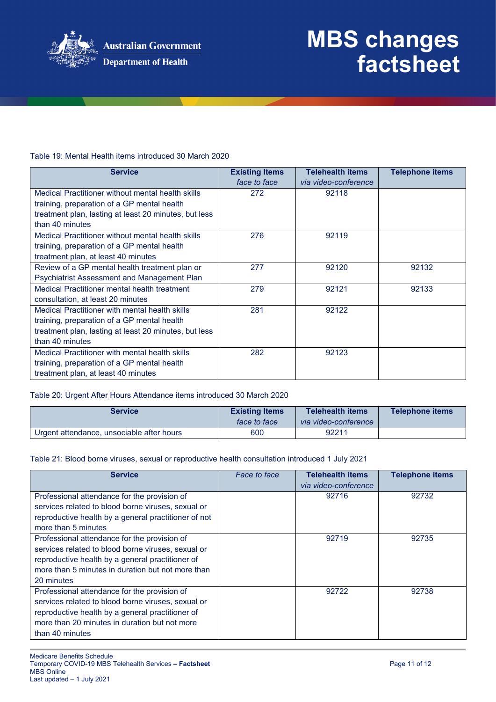

### Table 19: Mental Health items introduced 30 March 2020

| <b>Service</b>                                        | <b>Existing Items</b><br>face to face | <b>Telehealth items</b><br>via video-conference | <b>Telephone items</b> |
|-------------------------------------------------------|---------------------------------------|-------------------------------------------------|------------------------|
| Medical Practitioner without mental health skills     | 272                                   | 92118                                           |                        |
| training, preparation of a GP mental health           |                                       |                                                 |                        |
| treatment plan, lasting at least 20 minutes, but less |                                       |                                                 |                        |
| than 40 minutes                                       |                                       |                                                 |                        |
| Medical Practitioner without mental health skills     | 276                                   | 92119                                           |                        |
| training, preparation of a GP mental health           |                                       |                                                 |                        |
| treatment plan, at least 40 minutes                   |                                       |                                                 |                        |
| Review of a GP mental health treatment plan or        | 277                                   | 92120                                           | 92132                  |
| <b>Psychiatrist Assessment and Management Plan</b>    |                                       |                                                 |                        |
| Medical Practitioner mental health treatment          | 279                                   | 92121                                           | 92133                  |
| consultation, at least 20 minutes                     |                                       |                                                 |                        |
| Medical Practitioner with mental health skills        | 281                                   | 92122                                           |                        |
| training, preparation of a GP mental health           |                                       |                                                 |                        |
| treatment plan, lasting at least 20 minutes, but less |                                       |                                                 |                        |
| than 40 minutes                                       |                                       |                                                 |                        |
| Medical Practitioner with mental health skills        | 282                                   | 92123                                           |                        |
| training, preparation of a GP mental health           |                                       |                                                 |                        |
| treatment plan, at least 40 minutes                   |                                       |                                                 |                        |

#### Table 20: Urgent After Hours Attendance items introduced 30 March 2020

| <b>Service</b>                            | <b>Existing Items</b><br>face to face | <b>Telehealth items</b><br>via video-conference | <b>Telephone items</b> |
|-------------------------------------------|---------------------------------------|-------------------------------------------------|------------------------|
| Urgent attendance, unsociable after hours | 600                                   | 92211                                           |                        |

#### Table 21: Blood borne viruses, sexual or reproductive health consultation introduced 1 July 2021

| <b>Service</b>                                       | Face to face | <b>Telehealth items</b> | <b>Telephone items</b> |
|------------------------------------------------------|--------------|-------------------------|------------------------|
|                                                      |              | via video-conference    |                        |
| Professional attendance for the provision of         |              | 92716                   | 92732                  |
| services related to blood borne viruses, sexual or   |              |                         |                        |
| reproductive health by a general practitioner of not |              |                         |                        |
| more than 5 minutes                                  |              |                         |                        |
| Professional attendance for the provision of         |              | 92719                   | 92735                  |
| services related to blood borne viruses, sexual or   |              |                         |                        |
| reproductive health by a general practitioner of     |              |                         |                        |
| more than 5 minutes in duration but not more than    |              |                         |                        |
| 20 minutes                                           |              |                         |                        |
| Professional attendance for the provision of         |              | 92722                   | 92738                  |
| services related to blood borne viruses, sexual or   |              |                         |                        |
| reproductive health by a general practitioner of     |              |                         |                        |
| more than 20 minutes in duration but not more        |              |                         |                        |
| than 40 minutes                                      |              |                         |                        |